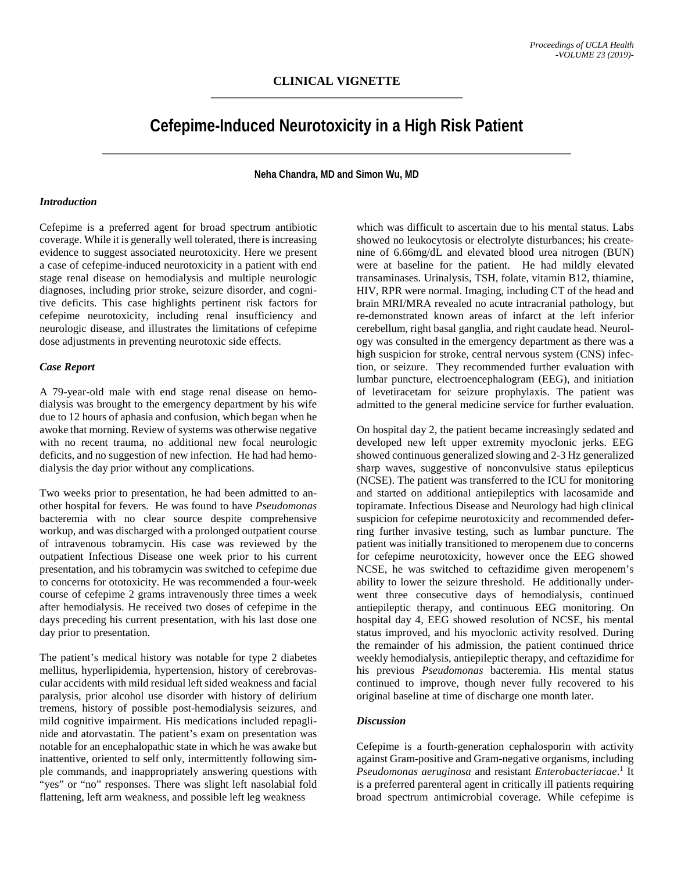# **Cefepime-Induced Neurotoxicity in a High Risk Patient**

**Neha Chandra, MD and Simon Wu, MD**

#### *Introduction*

Cefepime is a preferred agent for broad spectrum antibiotic coverage. While it is generally well tolerated, there is increasing evidence to suggest associated neurotoxicity. Here we present a case of cefepime-induced neurotoxicity in a patient with end stage renal disease on hemodialysis and multiple neurologic diagnoses, including prior stroke, seizure disorder, and cognitive deficits. This case highlights pertinent risk factors for cefepime neurotoxicity, including renal insufficiency and neurologic disease, and illustrates the limitations of cefepime dose adjustments in preventing neurotoxic side effects.

#### *Case Report*

A 79-year-old male with end stage renal disease on hemodialysis was brought to the emergency department by his wife due to 12 hours of aphasia and confusion, which began when he awoke that morning. Review of systems was otherwise negative with no recent trauma, no additional new focal neurologic deficits, and no suggestion of new infection. He had had hemodialysis the day prior without any complications.

Two weeks prior to presentation, he had been admitted to another hospital for fevers. He was found to have *Pseudomonas* bacteremia with no clear source despite comprehensive workup, and was discharged with a prolonged outpatient course of intravenous tobramycin. His case was reviewed by the outpatient Infectious Disease one week prior to his current presentation, and his tobramycin was switched to cefepime due to concerns for ototoxicity. He was recommended a four-week course of cefepime 2 grams intravenously three times a week after hemodialysis. He received two doses of cefepime in the days preceding his current presentation, with his last dose one day prior to presentation.

The patient's medical history was notable for type 2 diabetes mellitus, hyperlipidemia, hypertension, history of cerebrovascular accidents with mild residual left sided weakness and facial paralysis, prior alcohol use disorder with history of delirium tremens, history of possible post-hemodialysis seizures, and mild cognitive impairment. His medications included repaglinide and atorvastatin. The patient's exam on presentation was notable for an encephalopathic state in which he was awake but inattentive, oriented to self only, intermittently following simple commands, and inappropriately answering questions with "yes" or "no" responses. There was slight left nasolabial fold flattening, left arm weakness, and possible left leg weakness

which was difficult to ascertain due to his mental status. Labs showed no leukocytosis or electrolyte disturbances; his createnine of 6.66mg/dL and elevated blood urea nitrogen (BUN) were at baseline for the patient. He had mildly elevated transaminases. Urinalysis, TSH, folate, vitamin B12, thiamine, HIV, RPR were normal. Imaging, including CT of the head and brain MRI/MRA revealed no acute intracranial pathology, but re-demonstrated known areas of infarct at the left inferior cerebellum, right basal ganglia, and right caudate head. Neurology was consulted in the emergency department as there was a high suspicion for stroke, central nervous system (CNS) infection, or seizure. They recommended further evaluation with lumbar puncture, electroencephalogram (EEG), and initiation of levetiracetam for seizure prophylaxis. The patient was admitted to the general medicine service for further evaluation.

On hospital day 2, the patient became increasingly sedated and developed new left upper extremity myoclonic jerks. EEG showed continuous generalized slowing and 2-3 Hz generalized sharp waves, suggestive of nonconvulsive status epilepticus (NCSE). The patient was transferred to the ICU for monitoring and started on additional antiepileptics with lacosamide and topiramate. Infectious Disease and Neurology had high clinical suspicion for cefepime neurotoxicity and recommended deferring further invasive testing, such as lumbar puncture. The patient was initially transitioned to meropenem due to concerns for cefepime neurotoxicity, however once the EEG showed NCSE, he was switched to ceftazidime given meropenem's ability to lower the seizure threshold. He additionally underwent three consecutive days of hemodialysis, continued antiepileptic therapy, and continuous EEG monitoring. On hospital day 4, EEG showed resolution of NCSE, his mental status improved, and his myoclonic activity resolved. During the remainder of his admission, the patient continued thrice weekly hemodialysis, antiepileptic therapy, and ceftazidime for his previous *Pseudomonas* bacteremia. His mental status continued to improve, though never fully recovered to his original baseline at time of discharge one month later.

### *Discussion*

Cefepime is a fourth-generation cephalosporin with activity against Gram-positive and Gram-negative organisms, including *Pseudomonas aeruginosa* and resistant *Enterobacteriacae*. <sup>1</sup> It is a preferred parenteral agent in critically ill patients requiring broad spectrum antimicrobial coverage. While cefepime is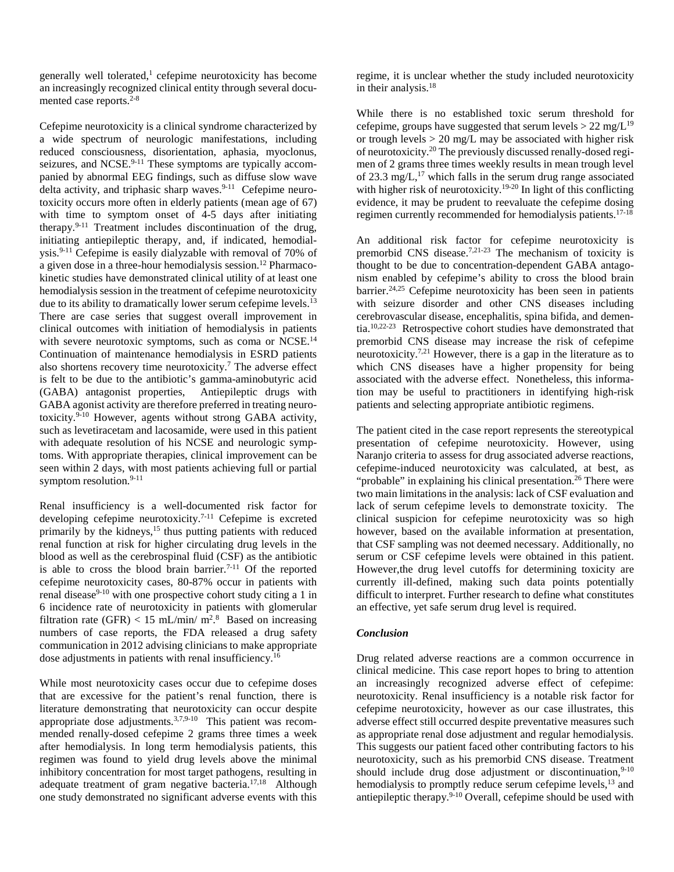generally well tolerated, $\frac{1}{1}$  cefepime neurotoxicity has become an increasingly recognized clinical entity through several documented case reports. 2-8

Cefepime neurotoxicity is a clinical syndrome characterized by a wide spectrum of neurologic manifestations, including reduced consciousness, disorientation, aphasia, myoclonus, seizures, and NCSE.<sup>9-11</sup> These symptoms are typically accompanied by abnormal EEG findings, such as diffuse slow wave delta activity, and triphasic sharp waves.<sup>9-11</sup> Cefepime neurotoxicity occurs more often in elderly patients (mean age of 67) with time to symptom onset of 4-5 days after initiating therapy.9-11 Treatment includes discontinuation of the drug, initiating antiepileptic therapy, and, if indicated, hemodialysis.9-11 Cefepime is easily dialyzable with removal of 70% of a given dose in a three-hour hemodialysis session. <sup>12</sup> Pharmacokinetic studies have demonstrated clinical utility of at least one hemodialysis session in the treatment of cefepime neurotoxicity due to its ability to dramatically lower serum cefepime levels.<sup>13</sup> There are case series that suggest overall improvement in clinical outcomes with initiation of hemodialysis in patients with severe neurotoxic symptoms, such as coma or NCSE.<sup>14</sup> Continuation of maintenance hemodialysis in ESRD patients also shortens recovery time neurotoxicity. <sup>7</sup> The adverse effect is felt to be due to the antibiotic's gamma-aminobutyric acid (GABA) antagonist properties, Antiepileptic drugs with GABA agonist activity are therefore preferred in treating neurotoxicity.9-10 However, agents without strong GABA activity, such as levetiracetam and lacosamide, were used in this patient with adequate resolution of his NCSE and neurologic symptoms. With appropriate therapies, clinical improvement can be seen within 2 days, with most patients achieving full or partial symptom resolution.<sup>9-11</sup>

Renal insufficiency is a well-documented risk factor for developing cefepime neurotoxicity.<sup>7-11</sup> Cefepime is excreted primarily by the kidneys,<sup>15</sup> thus putting patients with reduced renal function at risk for higher circulating drug levels in the blood as well as the cerebrospinal fluid (CSF) as the antibiotic is able to cross the blood brain barrier.<sup> $7-11$ </sup> Of the reported cefepime neurotoxicity cases, 80-87% occur in patients with renal disease<sup>9-10</sup> with one prospective cohort study citing a 1 in 6 incidence rate of neurotoxicity in patients with glomerular filtration rate (GFR) < 15 mL/min/ m<sup>2,8</sup> Based on increasing numbers of case reports, the FDA released a drug safety communication in 2012 advising clinicians to make appropriate dose adjustments in patients with renal insufficiency.<sup>16</sup>

While most neurotoxicity cases occur due to cefepime doses that are excessive for the patient's renal function, there is literature demonstrating that neurotoxicity can occur despite appropriate dose adjustments.<sup>3,7,9-10</sup> This patient was recommended renally-dosed cefepime 2 grams three times a week after hemodialysis. In long term hemodialysis patients, this regimen was found to yield drug levels above the minimal inhibitory concentration for most target pathogens, resulting in adequate treatment of gram negative bacteria.<sup>17,18</sup> Although one study demonstrated no significant adverse events with this

regime, it is unclear whether the study included neurotoxicity in their analysis.18

While there is no established toxic serum threshold for cefepime, groups have suggested that serum levels  $> 22$  mg/L<sup>19</sup> or trough levels  $> 20$  mg/L may be associated with higher risk of neurotoxicity. <sup>20</sup> The previously discussed renally-dosed regimen of 2 grams three times weekly results in mean trough level of 23.3 mg/ $L$ ,<sup>17</sup> which falls in the serum drug range associated with higher risk of neurotoxicity.<sup>19-20</sup> In light of this conflicting evidence, it may be prudent to reevaluate the cefepime dosing regimen currently recommended for hemodialysis patients.<sup>17-18</sup>

An additional risk factor for cefepime neurotoxicity is premorbid CNS disease.<sup>7,21-23</sup> The mechanism of toxicity is thought to be due to concentration-dependent GABA antagonism enabled by cefepime's ability to cross the blood brain barrier.<sup>24,25</sup> Cefepime neurotoxicity has been seen in patients with seizure disorder and other CNS diseases including cerebrovascular disease, encephalitis, spina bifida, and dementia.10,22-23 Retrospective cohort studies have demonstrated that premorbid CNS disease may increase the risk of cefepime neurotoxicity.<sup>7,21</sup> However, there is a gap in the literature as to which CNS diseases have a higher propensity for being associated with the adverse effect. Nonetheless, this information may be useful to practitioners in identifying high-risk patients and selecting appropriate antibiotic regimens.

The patient cited in the case report represents the stereotypical presentation of cefepime neurotoxicity. However, using Naranjo criteria to assess for drug associated adverse reactions, cefepime-induced neurotoxicity was calculated, at best, as "probable" in explaining his clinical presentation.<sup>26</sup> There were two main limitations in the analysis: lack of CSF evaluation and lack of serum cefepime levels to demonstrate toxicity. The clinical suspicion for cefepime neurotoxicity was so high however, based on the available information at presentation, that CSF sampling was not deemed necessary. Additionally, no serum or CSF cefepime levels were obtained in this patient. However,the drug level cutoffs for determining toxicity are currently ill-defined, making such data points potentially difficult to interpret. Further research to define what constitutes an effective, yet safe serum drug level is required.

## *Conclusion*

Drug related adverse reactions are a common occurrence in clinical medicine. This case report hopes to bring to attention an increasingly recognized adverse effect of cefepime: neurotoxicity. Renal insufficiency is a notable risk factor for cefepime neurotoxicity, however as our case illustrates, this adverse effect still occurred despite preventative measures such as appropriate renal dose adjustment and regular hemodialysis. This suggests our patient faced other contributing factors to his neurotoxicity, such as his premorbid CNS disease. Treatment should include drug dose adjustment or discontinuation,  $9-10$ hemodialysis to promptly reduce serum cefepime levels,<sup>13</sup> and antiepileptic therapy.<sup>9-10</sup> Overall, cefepime should be used with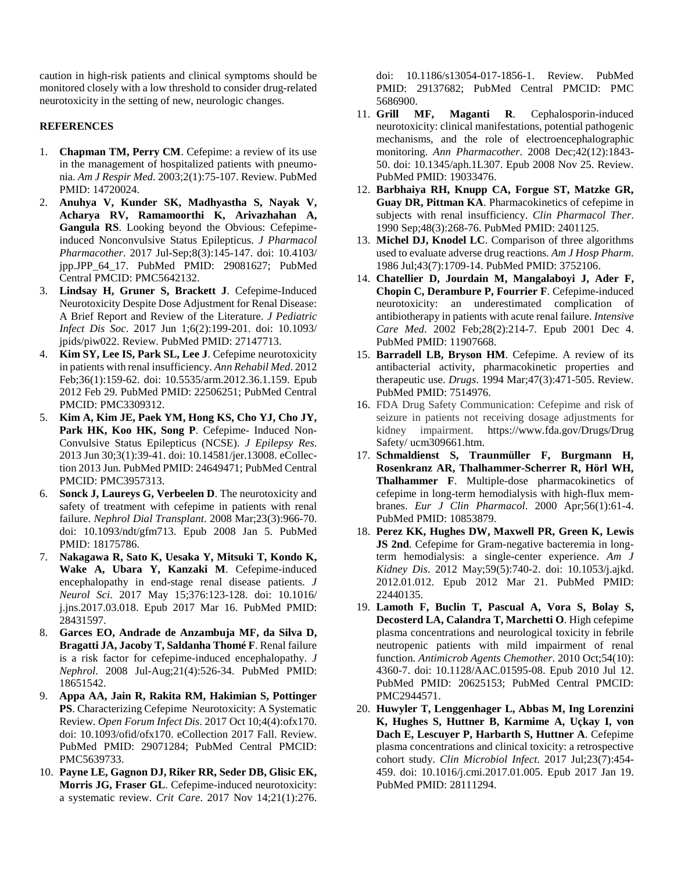caution in high-risk patients and clinical symptoms should be monitored closely with a low threshold to consider drug-related neurotoxicity in the setting of new, neurologic changes.

## **REFERENCES**

- 1. **Chapman TM, Perry CM**. Cefepime: a review of its use in the management of hospitalized patients with pneumonia. *Am J Respir Med*. 2003;2(1):75-107. Review. PubMed PMID: 14720024.
- 2. **Anuhya V, Kunder SK, Madhyastha S, Nayak V, Acharya RV, Ramamoorthi K, Arivazhahan A, Gangula RS**. Looking beyond the Obvious: Cefepimeinduced Nonconvulsive Status Epilepticus. *J Pharmacol Pharmacother*. 2017 Jul-Sep;8(3):145-147. doi: 10.4103/ jpp.JPP\_64\_17. PubMed PMID: 29081627; PubMed Central PMCID: PMC5642132.
- 3. **Lindsay H, Gruner S, Brackett J**. Cefepime-Induced Neurotoxicity Despite Dose Adjustment for Renal Disease: A Brief Report and Review of the Literature. *J Pediatric Infect Dis Soc*. 2017 Jun 1;6(2):199-201. doi: 10.1093/ jpids/piw022. Review. PubMed PMID: 27147713.
- 4. **Kim SY, Lee IS, Park SL, Lee J**. Cefepime neurotoxicity in patients with renal insufficiency. *Ann Rehabil Med*. 2012 Feb;36(1):159-62. doi: 10.5535/arm.2012.36.1.159. Epub 2012 Feb 29. PubMed PMID: 22506251; PubMed Central PMCID: PMC3309312.
- 5. **Kim A, Kim JE, Paek YM, Hong KS, Cho YJ, Cho JY,**  Park HK, Koo HK, Song P. Cefepime- Induced Non-Convulsive Status Epilepticus (NCSE). *J Epilepsy Res*. 2013 Jun 30;3(1):39-41. doi: 10.14581/jer.13008. eCollection 2013 Jun. PubMed PMID: 24649471; PubMed Central PMCID: PMC3957313.
- 6. **Sonck J, Laureys G, Verbeelen D**. The neurotoxicity and safety of treatment with cefepime in patients with renal failure. *Nephrol Dial Transplant*. 2008 Mar;23(3):966-70. doi: 10.1093/ndt/gfm713. Epub 2008 Jan 5. PubMed PMID: 18175786.
- 7. **Nakagawa R, Sato K, Uesaka Y, Mitsuki T, Kondo K, Wake A, Ubara Y, Kanzaki M**. Cefepime-induced encephalopathy in end-stage renal disease patients. *J Neurol Sci*. 2017 May 15;376:123-128. doi: 10.1016/ j.jns.2017.03.018. Epub 2017 Mar 16. PubMed PMID: 28431597.
- 8. **Garces EO, Andrade de Anzambuja MF, da Silva D, Bragatti JA, Jacoby T, Saldanha Thomé F**. Renal failure is a risk factor for cefepime-induced encephalopathy. *J Nephrol*. 2008 Jul-Aug;21(4):526-34. PubMed PMID: 18651542.
- 9. **Appa AA, Jain R, Rakita RM, Hakimian S, Pottinger PS**. Characterizing Cefepime Neurotoxicity: A Systematic Review. *Open Forum Infect Dis*. 2017 Oct 10;4(4):ofx170. doi: 10.1093/ofid/ofx170. eCollection 2017 Fall. Review. PubMed PMID: 29071284; PubMed Central PMCID: PMC5639733.
- 10. **Payne LE, Gagnon DJ, Riker RR, Seder DB, Glisic EK, Morris JG, Fraser GL**. Cefepime-induced neurotoxicity: a systematic review. *Crit Care*. 2017 Nov 14;21(1):276.

doi: 10.1186/s13054-017-1856-1. Review. PubMed PMID: 29137682; PubMed Central PMCID: PMC 5686900.

- 11. **Grill MF, Maganti R**. Cephalosporin-induced neurotoxicity: clinical manifestations, potential pathogenic mechanisms, and the role of electroencephalographic monitoring. *Ann Pharmacother*. 2008 Dec;42(12):1843- 50. doi: 10.1345/aph.1L307. Epub 2008 Nov 25. Review. PubMed PMID: 19033476.
- 12. **Barbhaiya RH, Knupp CA, Forgue ST, Matzke GR, Guay DR, Pittman KA**. Pharmacokinetics of cefepime in subjects with renal insufficiency. *Clin Pharmacol Ther*. 1990 Sep;48(3):268-76. PubMed PMID: 2401125.
- 13. **Michel DJ, Knodel LC**. Comparison of three algorithms used to evaluate adverse drug reactions. *Am J Hosp Pharm*. 1986 Jul;43(7):1709-14. PubMed PMID: 3752106.
- 14. **Chatellier D, Jourdain M, Mangalaboyi J, Ader F, Chopin C, Derambure P, Fourrier F**. Cefepime-induced neurotoxicity: an underestimated complication of antibiotherapy in patients with acute renal failure. *Intensive Care Med*. 2002 Feb;28(2):214-7. Epub 2001 Dec 4. PubMed PMID: 11907668.
- 15. **Barradell LB, Bryson HM**. Cefepime. A review of its antibacterial activity, pharmacokinetic properties and therapeutic use. *Drugs*. 1994 Mar;47(3):471-505. Review. PubMed PMID: 7514976.
- 16. FDA Drug Safety Communication: Cefepime and risk of seizure in patients not receiving dosage adjustments for kidney impairment. https://www.fda.gov/Drugs/Drug Safety/ ucm309661.htm.
- 17. **Schmaldienst S, Traunmüller F, Burgmann H, Rosenkranz AR, Thalhammer-Scherrer R, Hörl WH, Thalhammer F**. Multiple-dose pharmacokinetics of cefepime in long-term hemodialysis with high-flux membranes. *Eur J Clin Pharmacol*. 2000 Apr;56(1):61-4. PubMed PMID: 10853879.
- 18. **Perez KK, Hughes DW, Maxwell PR, Green K, Lewis JS 2nd**. Cefepime for Gram-negative bacteremia in longterm hemodialysis: a single-center experience. *Am J Kidney Dis*. 2012 May;59(5):740-2. doi: 10.1053/j.ajkd. 2012.01.012. Epub 2012 Mar 21. PubMed PMID: 22440135.
- 19. **Lamoth F, Buclin T, Pascual A, Vora S, Bolay S, Decosterd LA, Calandra T, Marchetti O**. High cefepime plasma concentrations and neurological toxicity in febrile neutropenic patients with mild impairment of renal function. *Antimicrob Agents Chemother*. 2010 Oct;54(10): 4360-7. doi: 10.1128/AAC.01595-08. Epub 2010 Jul 12. PubMed PMID: 20625153; PubMed Central PMCID: PMC2944571.
- 20. **Huwyler T, Lenggenhager L, Abbas M, Ing Lorenzini K, Hughes S, Huttner B, Karmime A, Uçkay I, von Dach E, Lescuyer P, Harbarth S, Huttner A**. Cefepime plasma concentrations and clinical toxicity: a retrospective cohort study. *Clin Microbiol Infect*. 2017 Jul;23(7):454- 459. doi: 10.1016/j.cmi.2017.01.005. Epub 2017 Jan 19. PubMed PMID: 28111294.